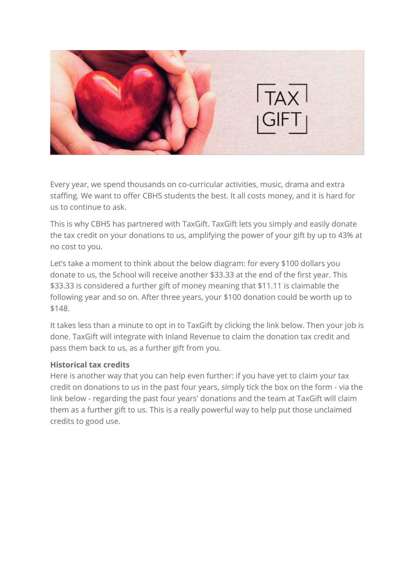

Every year, we spend thousands on co-curricular activities, music, drama and extra staffing. We want to offer CBHS students the best. It all costs money, and it is hard for us to continue to ask.

This is why CBHS has partnered with [TaxGift.](https://www.taxgift.co.nz/) TaxGift lets you simply and easily donate the tax credit on your donations to us, amplifying the power of your gift by up to 43% at no cost to you.

Let's take a moment to think about the below diagram: for every \$100 dollars you donate to us, the School will receive another \$33.33 at the end of the first year. This \$33.33 is considered a further gift of money meaning that \$11.11 is claimable the following year and so on. After three years, your \$100 donation could be worth up to \$148.

It takes less than a minute to opt in to TaxGift by clicking the link below. Then your job is done. TaxGift will integrate with Inland Revenue to claim the donation tax credit and pass them back to us, as a further gift from you.

## **Historical tax credits**

Here is another way that you can help even further: if you have yet to claim your tax credit on donations to us in the past four years, simply tick the box on the form - via the link below - regarding the past four years' donations and the team at TaxGift will claim them as a further gift to us. This is a really powerful way to help put those unclaimed credits to good use.